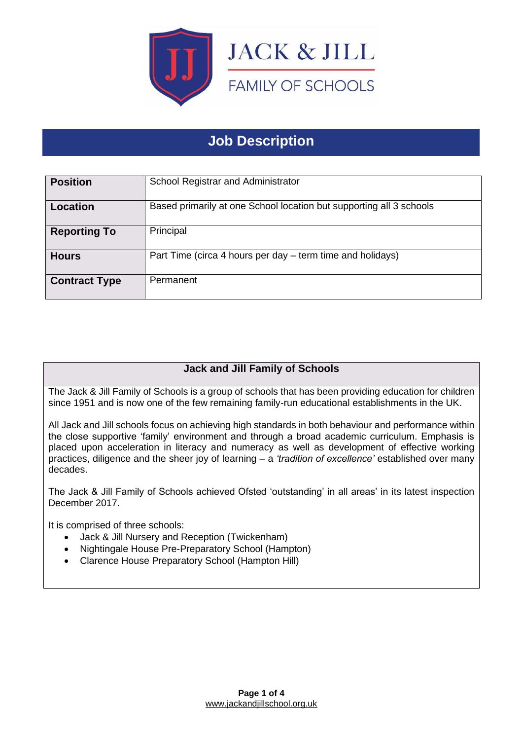

# **Job Description**

| <b>Position</b>      | School Registrar and Administrator                                  |
|----------------------|---------------------------------------------------------------------|
| Location             | Based primarily at one School location but supporting all 3 schools |
| <b>Reporting To</b>  | Principal                                                           |
| <b>Hours</b>         | Part Time (circa 4 hours per day – term time and holidays)          |
| <b>Contract Type</b> | Permanent                                                           |

# **Jack and Jill Family of Schools**

The Jack & Jill Family of Schools is a group of schools that has been providing education for children since 1951 and is now one of the few remaining family-run educational establishments in the UK.

All Jack and Jill schools focus on achieving high standards in both behaviour and performance within the close supportive 'family' environment and through a broad academic curriculum. Emphasis is placed upon acceleration in literacy and numeracy as well as development of effective working practices, diligence and the sheer joy of learning – a *'tradition of excellence'* established over many decades.

The Jack & Jill Family of Schools achieved Ofsted 'outstanding' in all areas' in its latest inspection December 2017.

It is comprised of three schools:

- Jack & Jill Nursery and Reception (Twickenham)
- Nightingale House Pre-Preparatory School (Hampton)
- Clarence House Preparatory School (Hampton Hill)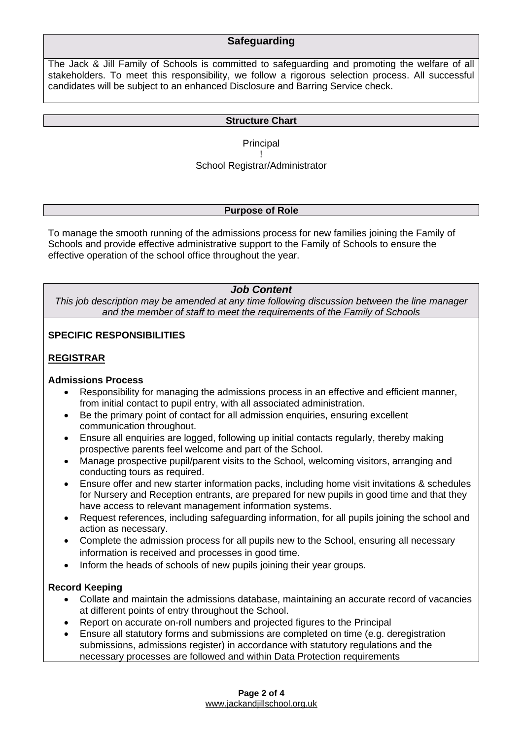# **Safeguarding**

The Jack & Jill Family of Schools is committed to safeguarding and promoting the welfare of all stakeholders. To meet this responsibility, we follow a rigorous selection process. All successful candidates will be subject to an enhanced Disclosure and Barring Service check.

#### **Structure Chart**

Principal !

# School Registrar/Administrator

#### **Purpose of Role**

To manage the smooth running of the admissions process for new families joining the Family of Schools and provide effective administrative support to the Family of Schools to ensure the effective operation of the school office throughout the year.

#### *Job Content*

*This job description may be amended at any time following discussion between the line manager and the member of staff to meet the requirements of the Family of Schools*

#### **SPECIFIC RESPONSIBILITIES**

#### **REGISTRAR**

#### **Admissions Process**

- Responsibility for managing the admissions process in an effective and efficient manner, from initial contact to pupil entry, with all associated administration.
- Be the primary point of contact for all admission enquiries, ensuring excellent communication throughout.
- Ensure all enquiries are logged, following up initial contacts regularly, thereby making prospective parents feel welcome and part of the School.
- Manage prospective pupil/parent visits to the School, welcoming visitors, arranging and conducting tours as required.
- Ensure offer and new starter information packs, including home visit invitations & schedules for Nursery and Reception entrants, are prepared for new pupils in good time and that they have access to relevant management information systems.
- Request references, including safeguarding information, for all pupils joining the school and action as necessary.
- Complete the admission process for all pupils new to the School, ensuring all necessary information is received and processes in good time.
- Inform the heads of schools of new pupils joining their year groups.

#### **Record Keeping**

- Collate and maintain the admissions database, maintaining an accurate record of vacancies at different points of entry throughout the School.
- Report on accurate on-roll numbers and projected figures to the Principal
- Ensure all statutory forms and submissions are completed on time (e.g. deregistration submissions, admissions register) in accordance with statutory regulations and the necessary processes are followed and within Data Protection requirements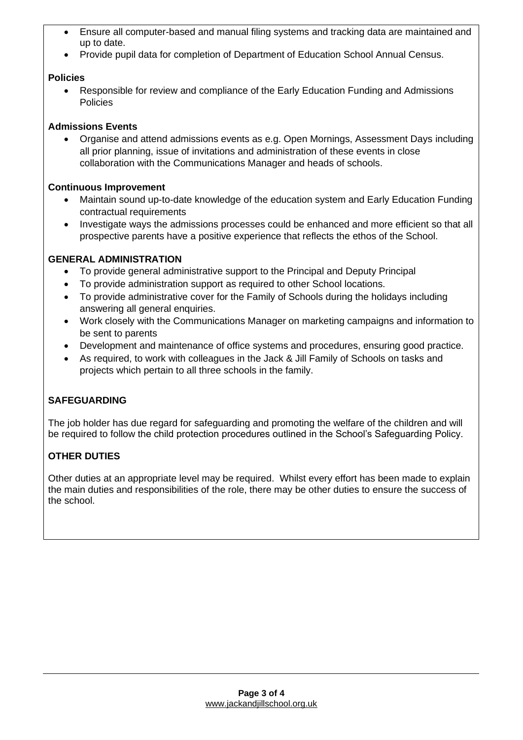- Ensure all computer-based and manual filing systems and tracking data are maintained and up to date.
- Provide pupil data for completion of Department of Education School Annual Census.

#### **Policies**

• Responsible for review and compliance of the Early Education Funding and Admissions Policies

#### **Admissions Events**

• Organise and attend admissions events as e.g. Open Mornings, Assessment Days including all prior planning, issue of invitations and administration of these events in close collaboration with the Communications Manager and heads of schools.

#### **Continuous Improvement**

- Maintain sound up-to-date knowledge of the education system and Early Education Funding contractual requirements
- Investigate ways the admissions processes could be enhanced and more efficient so that all prospective parents have a positive experience that reflects the ethos of the School.

#### **GENERAL ADMINISTRATION**

- To provide general administrative support to the Principal and Deputy Principal
- To provide administration support as required to other School locations.
- To provide administrative cover for the Family of Schools during the holidays including answering all general enquiries.
- Work closely with the Communications Manager on marketing campaigns and information to be sent to parents
- Development and maintenance of office systems and procedures, ensuring good practice.
- As required, to work with colleagues in the Jack & Jill Family of Schools on tasks and projects which pertain to all three schools in the family.

### **SAFEGUARDING**

The job holder has due regard for safeguarding and promoting the welfare of the children and will be required to follow the child protection procedures outlined in the School's Safeguarding Policy.

# **OTHER DUTIES**

Other duties at an appropriate level may be required. Whilst every effort has been made to explain the main duties and responsibilities of the role, there may be other duties to ensure the success of the school.